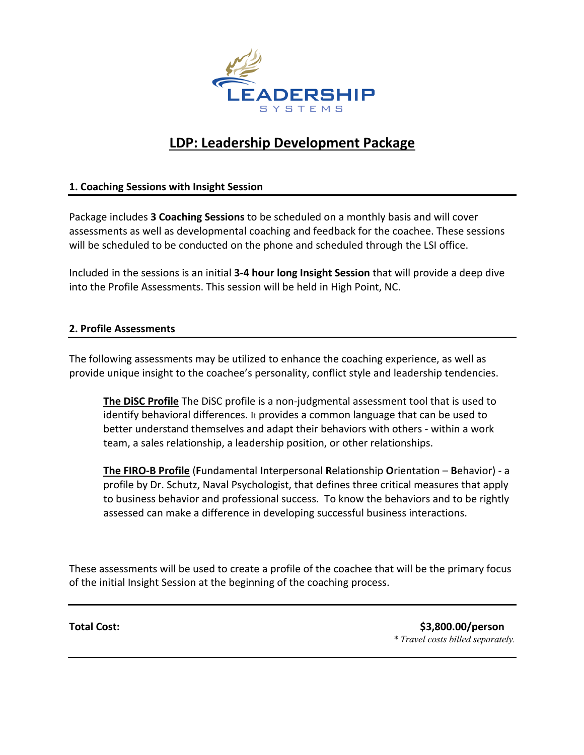

# **LDP: Leadership Development Package**

### **1. Coaching Sessions with Insight Session**

Package includes **3 Coaching Sessions** to be scheduled on a monthly basis and will cover assessments as well as developmental coaching and feedback for the coachee. These sessions will be scheduled to be conducted on the phone and scheduled through the LSI office.

Included in the sessions is an initial **3-4 hour long Insight Session** that will provide a deep dive into the Profile Assessments. This session will be held in High Point, NC.

### **2. Profile Assessments**

The following assessments may be utilized to enhance the coaching experience, as well as provide unique insight to the coachee's personality, conflict style and leadership tendencies.

**The DiSC Profile** The DiSC profile is a non-judgmental assessment tool that is used to identify behavioral differences. It provides a common language that can be used to better understand themselves and adapt their behaviors with others - within a work team, a sales relationship, a leadership position, or other relationships.

**The FIRO-B Profile** (**F**undamental **I**nterpersonal **R**elationship **O**rientation – **B**ehavior) - a profile by Dr. Schutz, Naval Psychologist, that defines three critical measures that apply to business behavior and professional success. To know the behaviors and to be rightly assessed can make a difference in developing successful business interactions.

These assessments will be used to create a profile of the coachee that will be the primary focus of the initial Insight Session at the beginning of the coaching process.

**Total Cost: \$3,800.00/person** *\* Travel costs billed separately.*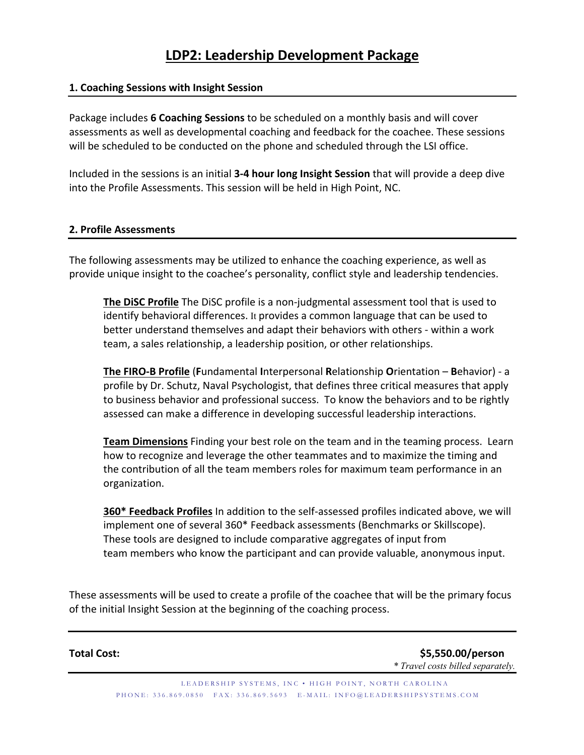### **1. Coaching Sessions with Insight Session**

Package includes **6 Coaching Sessions** to be scheduled on a monthly basis and will cover assessments as well as developmental coaching and feedback for the coachee. These sessions will be scheduled to be conducted on the phone and scheduled through the LSI office.

Included in the sessions is an initial **3-4 hour long Insight Session** that will provide a deep dive into the Profile Assessments. This session will be held in High Point, NC.

### **2. Profile Assessments**

The following assessments may be utilized to enhance the coaching experience, as well as provide unique insight to the coachee's personality, conflict style and leadership tendencies.

**The DiSC Profile** The DiSC profile is a non-judgmental assessment tool that is used to identify behavioral differences. It provides a common language that can be used to better understand themselves and adapt their behaviors with others - within a work team, a sales relationship, a leadership position, or other relationships.

**The FIRO-B Profile** (**F**undamental **I**nterpersonal **R**elationship **O**rientation – **B**ehavior) - a profile by Dr. Schutz, Naval Psychologist, that defines three critical measures that apply to business behavior and professional success. To know the behaviors and to be rightly assessed can make a difference in developing successful leadership interactions.

**Team Dimensions** Finding your best role on the team and in the teaming process. Learn how to recognize and leverage the other teammates and to maximize the timing and the contribution of all the team members roles for maximum team performance in an organization.

**360\* Feedback Profiles** In addition to the self-assessed profiles indicated above, we will implement one of several 360\* Feedback assessments (Benchmarks or Skillscope). These tools are designed to include comparative aggregates of input from team members who know the participant and can provide valuable, anonymous input.

These assessments will be used to create a profile of the coachee that will be the primary focus of the initial Insight Session at the beginning of the coaching process.

**Total Cost: \$5,550.00/person** *\* Travel costs billed separately.*

> LEADERSHIP SYSTEMS, INC • HIGH POINT, NORTH CAROLINA PHONE: 336.869.0850 FAX: 336.869.5693 E - MAIL: INFO@LEADERSHIPSYSTEMS.COM